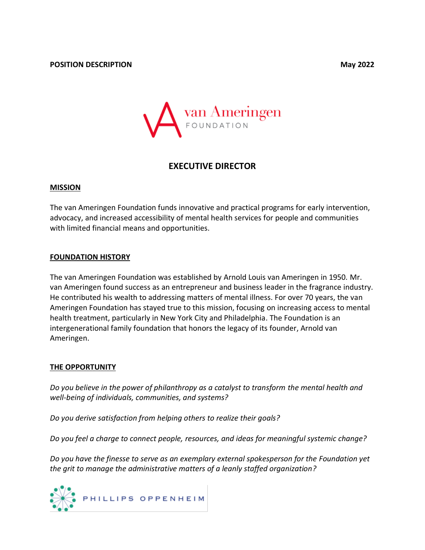

# **EXECUTIVE DIRECTOR**

# **MISSION**

The van Ameringen Foundation funds innovative and practical programs for early intervention, advocacy, and increased accessibility of mental health services for people and communities with limited financial means and opportunities.

# **FOUNDATION HISTORY**

The van Ameringen Foundation was established by Arnold Louis van Ameringen in 1950. Mr. van Ameringen found success as an entrepreneur and business leader in the fragrance industry. He contributed his wealth to addressing matters of mental illness. For over 70 years, the van Ameringen Foundation has stayed true to this mission, focusing on increasing access to mental health treatment, particularly in New York City and Philadelphia. The Foundation is an intergenerational family foundation that honors the legacy of its founder, Arnold van Ameringen.

# **THE OPPORTUNITY**

*Do you believe in the power of philanthropy as a catalyst to transform the mental health and well-being of individuals, communities, and systems?*

*Do you derive satisfaction from helping others to realize their goals?* 

*Do you feel a charge to connect people, resources, and ideas for meaningful systemic change?*

*Do you have the finesse to serve as an exemplary external spokesperson for the Foundation yet the grit to manage the administrative matters of a leanly staffed organization?*

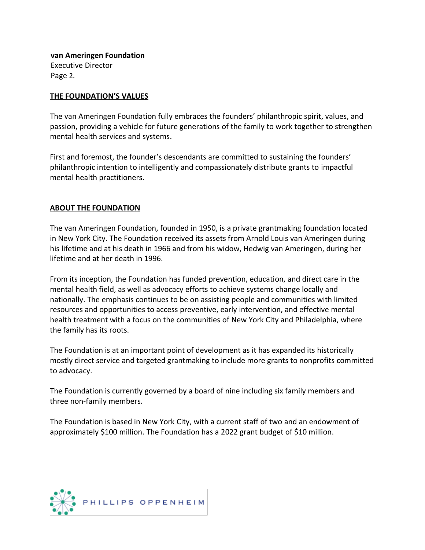**van Ameringen Foundation** Executive Director Page 2.

### **THE FOUNDATION'S VALUES**

The van Ameringen Foundation fully embraces the founders' philanthropic spirit, values, and passion, providing a vehicle for future generations of the family to work together to strengthen mental health services and systems.

First and foremost, the founder's descendants are committed to sustaining the founders' philanthropic intention to intelligently and compassionately distribute grants to impactful mental health practitioners.

#### **ABOUT THE FOUNDATION**

The van Ameringen Foundation, founded in 1950, is a private grantmaking foundation located in New York City. The Foundation received its assets from Arnold Louis van Ameringen during his lifetime and at his death in 1966 and from his widow, Hedwig van Ameringen, during her lifetime and at her death in 1996.

From its inception, the Foundation has funded prevention, education, and direct care in the mental health field, as well as advocacy efforts to achieve systems change locally and nationally. The emphasis continues to be on assisting people and communities with limited resources and opportunities to access preventive, early intervention, and effective mental health treatment with a focus on the communities of New York City and Philadelphia, where the family has its roots.

The Foundation is at an important point of development as it has expanded its historically mostly direct service and targeted grantmaking to include more grants to nonprofits committed to advocacy.

The Foundation is currently governed by a board of nine including six family members and three non-family members.

The Foundation is based in New York City, with a current staff of two and an endowment of approximately \$100 million. The Foundation has a 2022 grant budget of \$10 million.

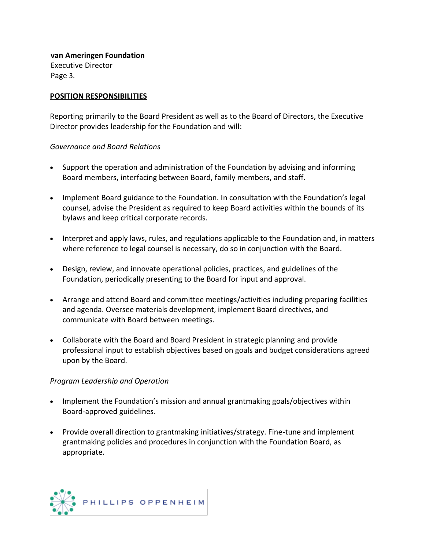**van Ameringen Foundation** Executive Director Page 3.

# **POSITION RESPONSIBILITIES**

Reporting primarily to the Board President as well as to the Board of Directors, the Executive Director provides leadership for the Foundation and will:

#### *Governance and Board Relations*

- Support the operation and administration of the Foundation by advising and informing Board members, interfacing between Board, family members, and staff.
- Implement Board guidance to the Foundation. In consultation with the Foundation's legal counsel, advise the President as required to keep Board activities within the bounds of its bylaws and keep critical corporate records.
- Interpret and apply laws, rules, and regulations applicable to the Foundation and, in matters where reference to legal counsel is necessary, do so in conjunction with the Board.
- Design, review, and innovate operational policies, practices, and guidelines of the Foundation, periodically presenting to the Board for input and approval.
- Arrange and attend Board and committee meetings/activities including preparing facilities and agenda. Oversee materials development, implement Board directives, and communicate with Board between meetings.
- Collaborate with the Board and Board President in strategic planning and provide professional input to establish objectives based on goals and budget considerations agreed upon by the Board.

#### *Program Leadership and Operation*

- Implement the Foundation's mission and annual grantmaking goals/objectives within Board-approved guidelines.
- Provide overall direction to grantmaking initiatives/strategy. Fine-tune and implement grantmaking policies and procedures in conjunction with the Foundation Board, as appropriate.

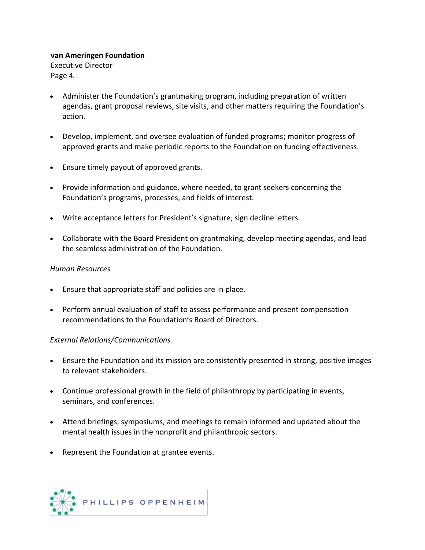# **van Ameringen Foundation**

Executive Director Page 4.

- Administer the Foundation's grantmaking program, including preparation of written agendas, grant proposal reviews, site visits, and other matters requiring the Foundation's action.
- Develop, implement, and oversee evaluation of funded programs; monitor progress of approved grants and make periodic reports to the Foundation on funding effectiveness.
- Ensure timely payout of approved grants.
- Provide information and guidance, where needed, to grant seekers concerning the Foundation's programs, processes, and fields of interest.
- Write acceptance letters for President's signature; sign decline letters.
- Collaborate with the Board President on grantmaking, develop meeting agendas, and lead the seamless administration of the Foundation.

# *Human Resources*

- Ensure that appropriate staff and policies are in place.
- Perform annual evaluation of staff to assess performance and present compensation recommendations to the Foundation's Board of Directors.

# *External Relations/Communications*

- Ensure the Foundation and its mission are consistently presented in strong, positive images to relevant stakeholders.
- Continue professional growth in the field of philanthropy by participating in events, seminars, and conferences.
- Attend briefings, symposiums, and meetings to remain informed and updated about the mental health issues in the nonprofit and philanthropic sectors.
- Represent the Foundation at grantee events.

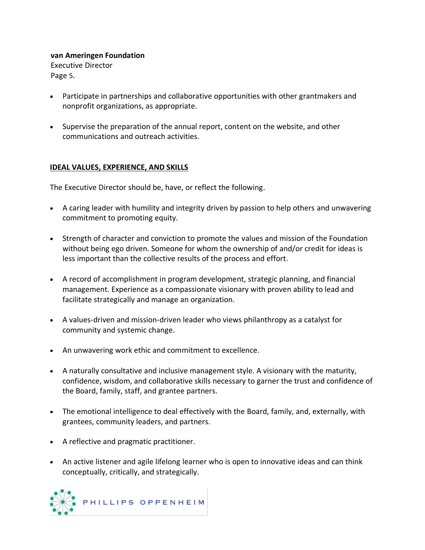# **van Ameringen Foundation**

Executive Director Page 5.

- Participate in partnerships and collaborative opportunities with other grantmakers and nonprofit organizations, as appropriate.
- Supervise the preparation of the annual report, content on the website, and other communications and outreach activities.

# **IDEAL VALUES, EXPERIENCE, AND SKILLS**

The Executive Director should be, have, or reflect the following.

- A caring leader with humility and integrity driven by passion to help others and unwavering commitment to promoting equity.
- Strength of character and conviction to promote the values and mission of the Foundation without being ego driven. Someone for whom the ownership of and/or credit for ideas is less important than the collective results of the process and effort.
- A record of accomplishment in program development, strategic planning, and financial management. Experience as a compassionate visionary with proven ability to lead and facilitate strategically and manage an organization.
- A values-driven and mission-driven leader who views philanthropy as a catalyst for community and systemic change.
- An unwavering work ethic and commitment to excellence.
- A naturally consultative and inclusive management style. A visionary with the maturity, confidence, wisdom, and collaborative skills necessary to garner the trust and confidence of the Board, family, staff, and grantee partners.
- The emotional intelligence to deal effectively with the Board, family, and, externally, with grantees, community leaders, and partners.
- A reflective and pragmatic practitioner.
- An active listener and agile lifelong learner who is open to innovative ideas and can think conceptually, critically, and strategically.